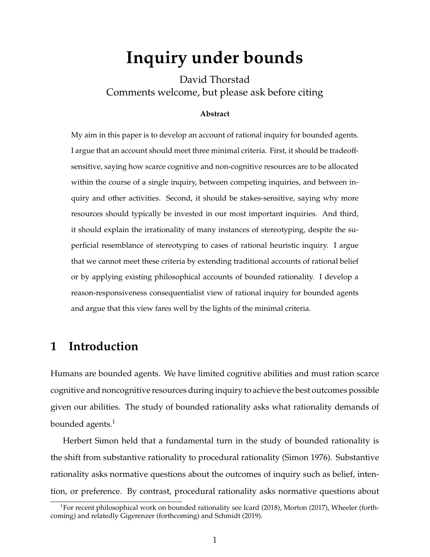# **Inquiry under bounds**

David Thorstad Comments welcome, but please ask before citing

#### **Abstract**

My aim in this paper is to develop an account of rational inquiry for bounded agents. I argue that an account should meet three minimal criteria. First, it should be tradeoffsensitive, saying how scarce cognitive and non-cognitive resources are to be allocated within the course of a single inquiry, between competing inquiries, and between inquiry and other activities. Second, it should be stakes-sensitive, saying why more resources should typically be invested in our most important inquiries. And third, it should explain the irrationality of many instances of stereotyping, despite the superficial resemblance of stereotyping to cases of rational heuristic inquiry. I argue that we cannot meet these criteria by extending traditional accounts of rational belief or by applying existing philosophical accounts of bounded rationality. I develop a reason-responsiveness consequentialist view of rational inquiry for bounded agents and argue that this view fares well by the lights of the minimal criteria.

# **1 Introduction**

Humans are bounded agents. We have limited cognitive abilities and must ration scarce cognitive and noncognitive resources during inquiry to achieve the best outcomes possible given our abilities. The study of bounded rationality asks what rationality demands of bounded agents. $<sup>1</sup>$ </sup>

Herbert Simon held that a fundamental turn in the study of bounded rationality is the shift from substantive rationality to procedural rationality (Simon 1976). Substantive rationality asks normative questions about the outcomes of inquiry such as belief, intention, or preference. By contrast, procedural rationality asks normative questions about

<sup>&</sup>lt;sup>1</sup>For recent philosophical work on bounded rationality see Icard (2018), Morton (2017), Wheeler (forthcoming) and relatedly Gigerenzer (forthcoming) and Schmidt (2019).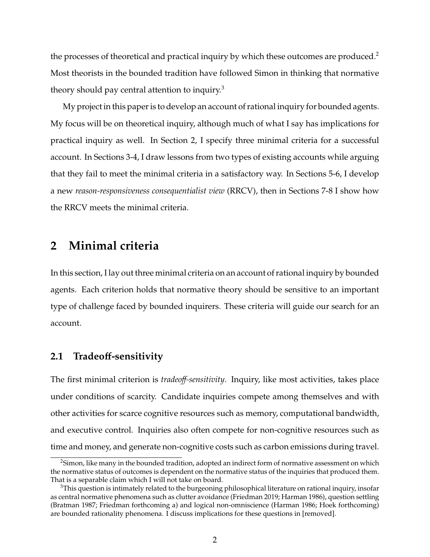the processes of theoretical and practical inquiry by which these outcomes are produced.<sup>2</sup> Most theorists in the bounded tradition have followed Simon in thinking that normative theory should pay central attention to inquiry.<sup>3</sup>

My project in this paper is to develop an account of rational inquiry for bounded agents. My focus will be on theoretical inquiry, although much of what I say has implications for practical inquiry as well. In Section 2, I specify three minimal criteria for a successful account. In Sections 3-4, I draw lessons from two types of existing accounts while arguing that they fail to meet the minimal criteria in a satisfactory way. In Sections 5-6, I develop a new *reason-responsiveness consequentialist view* (RRCV), then in Sections 7-8 I show how the RRCV meets the minimal criteria.

## **2 Minimal criteria**

In this section, I lay out three minimal criteria on an account of rational inquiry by bounded agents. Each criterion holds that normative theory should be sensitive to an important type of challenge faced by bounded inquirers. These criteria will guide our search for an account.

#### **2.1 Tradeo**ff**-sensitivity**

The first minimal criterion is *tradeo*ff*-sensitivity*. Inquiry, like most activities, takes place under conditions of scarcity. Candidate inquiries compete among themselves and with other activities for scarce cognitive resources such as memory, computational bandwidth, and executive control. Inquiries also often compete for non-cognitive resources such as time and money, and generate non-cognitive costs such as carbon emissions during travel.

<sup>&</sup>lt;sup>2</sup>Simon, like many in the bounded tradition, adopted an indirect form of normative assessment on which the normative status of outcomes is dependent on the normative status of the inquiries that produced them. That is a separable claim which I will not take on board.

 $3$ This question is intimately related to the burgeoning philosophical literature on rational inquiry, insofar as central normative phenomena such as clutter avoidance (Friedman 2019; Harman 1986), question settling (Bratman 1987; Friedman forthcoming a) and logical non-omniscience (Harman 1986; Hoek forthcoming) are bounded rationality phenomena. I discuss implications for these questions in [removed].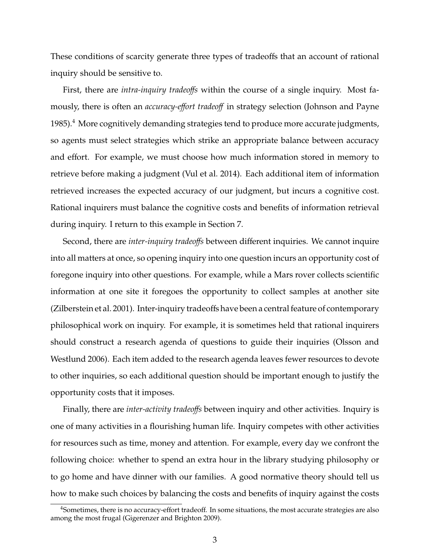These conditions of scarcity generate three types of tradeoffs that an account of rational inquiry should be sensitive to.

First, there are *intra-inquiry tradeoffs* within the course of a single inquiry. Most famously, there is often an *accuracy-e*ff*ort tradeo*ff in strategy selection (Johnson and Payne 1985).<sup>4</sup> More cognitively demanding strategies tend to produce more accurate judgments, so agents must select strategies which strike an appropriate balance between accuracy and effort. For example, we must choose how much information stored in memory to retrieve before making a judgment (Vul et al. 2014). Each additional item of information retrieved increases the expected accuracy of our judgment, but incurs a cognitive cost. Rational inquirers must balance the cognitive costs and benefits of information retrieval during inquiry. I return to this example in Section 7.

Second, there are *inter-inquiry tradeo*ff*s* between different inquiries. We cannot inquire into all matters at once, so opening inquiry into one question incurs an opportunity cost of foregone inquiry into other questions. For example, while a Mars rover collects scientific information at one site it foregoes the opportunity to collect samples at another site (Zilberstein et al. 2001). Inter-inquiry tradeoffs have been a central feature of contemporary philosophical work on inquiry. For example, it is sometimes held that rational inquirers should construct a research agenda of questions to guide their inquiries (Olsson and Westlund 2006). Each item added to the research agenda leaves fewer resources to devote to other inquiries, so each additional question should be important enough to justify the opportunity costs that it imposes.

Finally, there are *inter-activity tradeo*ff*s* between inquiry and other activities. Inquiry is one of many activities in a flourishing human life. Inquiry competes with other activities for resources such as time, money and attention. For example, every day we confront the following choice: whether to spend an extra hour in the library studying philosophy or to go home and have dinner with our families. A good normative theory should tell us how to make such choices by balancing the costs and benefits of inquiry against the costs

<sup>&</sup>lt;sup>4</sup>Sometimes, there is no accuracy-effort tradeoff. In some situations, the most accurate strategies are also among the most frugal (Gigerenzer and Brighton 2009).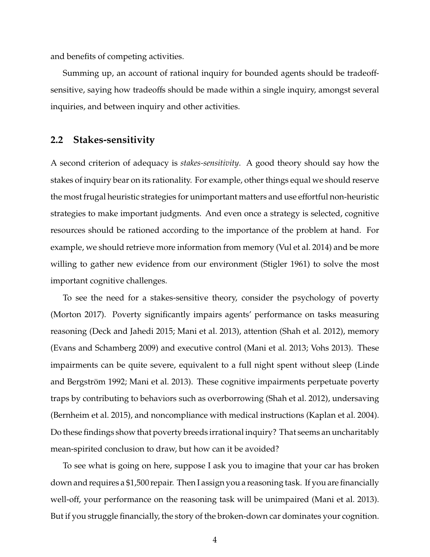and benefits of competing activities.

Summing up, an account of rational inquiry for bounded agents should be tradeoffsensitive, saying how tradeoffs should be made within a single inquiry, amongst several inquiries, and between inquiry and other activities.

#### **2.2 Stakes-sensitivity**

A second criterion of adequacy is *stakes-sensitivity*. A good theory should say how the stakes of inquiry bear on its rationality. For example, other things equal we should reserve the most frugal heuristic strategies for unimportant matters and use effortful non-heuristic strategies to make important judgments. And even once a strategy is selected, cognitive resources should be rationed according to the importance of the problem at hand. For example, we should retrieve more information from memory (Vul et al. 2014) and be more willing to gather new evidence from our environment (Stigler 1961) to solve the most important cognitive challenges.

To see the need for a stakes-sensitive theory, consider the psychology of poverty (Morton 2017). Poverty significantly impairs agents' performance on tasks measuring reasoning (Deck and Jahedi 2015; Mani et al. 2013), attention (Shah et al. 2012), memory (Evans and Schamberg 2009) and executive control (Mani et al. 2013; Vohs 2013). These impairments can be quite severe, equivalent to a full night spent without sleep (Linde and Bergström 1992; Mani et al. 2013). These cognitive impairments perpetuate poverty traps by contributing to behaviors such as overborrowing (Shah et al. 2012), undersaving (Bernheim et al. 2015), and noncompliance with medical instructions (Kaplan et al. 2004). Do these findings show that poverty breeds irrational inquiry? That seems an uncharitably mean-spirited conclusion to draw, but how can it be avoided?

To see what is going on here, suppose I ask you to imagine that your car has broken down and requires a \$1,500 repair. Then I assign you a reasoning task. If you are financially well-off, your performance on the reasoning task will be unimpaired (Mani et al. 2013). But if you struggle financially, the story of the broken-down car dominates your cognition.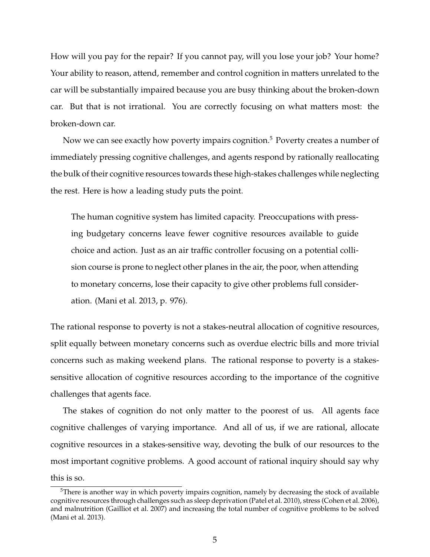How will you pay for the repair? If you cannot pay, will you lose your job? Your home? Your ability to reason, attend, remember and control cognition in matters unrelated to the car will be substantially impaired because you are busy thinking about the broken-down car. But that is not irrational. You are correctly focusing on what matters most: the broken-down car.

Now we can see exactly how poverty impairs cognition.<sup>5</sup> Poverty creates a number of immediately pressing cognitive challenges, and agents respond by rationally reallocating the bulk of their cognitive resources towards these high-stakes challenges while neglecting the rest. Here is how a leading study puts the point.

The human cognitive system has limited capacity. Preoccupations with pressing budgetary concerns leave fewer cognitive resources available to guide choice and action. Just as an air traffic controller focusing on a potential collision course is prone to neglect other planes in the air, the poor, when attending to monetary concerns, lose their capacity to give other problems full consideration. (Mani et al. 2013, p. 976).

The rational response to poverty is not a stakes-neutral allocation of cognitive resources, split equally between monetary concerns such as overdue electric bills and more trivial concerns such as making weekend plans. The rational response to poverty is a stakessensitive allocation of cognitive resources according to the importance of the cognitive challenges that agents face.

The stakes of cognition do not only matter to the poorest of us. All agents face cognitive challenges of varying importance. And all of us, if we are rational, allocate cognitive resources in a stakes-sensitive way, devoting the bulk of our resources to the most important cognitive problems. A good account of rational inquiry should say why this is so.

 $5$ There is another way in which poverty impairs cognition, namely by decreasing the stock of available cognitive resources through challenges such as sleep deprivation (Patel et al. 2010), stress (Cohen et al. 2006), and malnutrition (Gailliot et al. 2007) and increasing the total number of cognitive problems to be solved (Mani et al. 2013).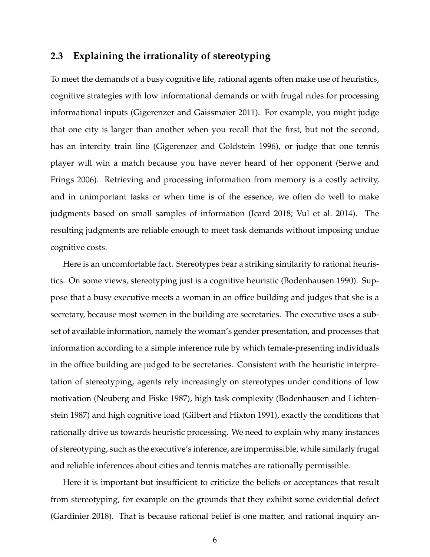#### **2.3 Explaining the irrationality of stereotyping**

To meet the demands of a busy cognitive life, rational agents often make use of heuristics, cognitive strategies with low informational demands or with frugal rules for processing informational inputs (Gigerenzer and Gaissmaier 2011). For example, you might judge that one city is larger than another when you recall that the first, but not the second, has an intercity train line (Gigerenzer and Goldstein 1996), or judge that one tennis player will win a match because you have never heard of her opponent (Serwe and Frings 2006). Retrieving and processing information from memory is a costly activity, and in unimportant tasks or when time is of the essence, we often do well to make judgments based on small samples of information (Icard 2018; Vul et al. 2014). The resulting judgments are reliable enough to meet task demands without imposing undue cognitive costs.

Here is an uncomfortable fact. Stereotypes bear a striking similarity to rational heuristics. On some views, stereotyping just is a cognitive heuristic (Bodenhausen 1990). Suppose that a busy executive meets a woman in an office building and judges that she is a secretary, because most women in the building are secretaries. The executive uses a subset of available information, namely the woman's gender presentation, and processes that information according to a simple inference rule by which female-presenting individuals in the office building are judged to be secretaries. Consistent with the heuristic interpretation of stereotyping, agents rely increasingly on stereotypes under conditions of low motivation (Neuberg and Fiske 1987), high task complexity (Bodenhausen and Lichtenstein 1987) and high cognitive load (Gilbert and Hixton 1991), exactly the conditions that rationally drive us towards heuristic processing. We need to explain why many instances of stereotyping, such as the executive's inference, are impermissible, while similarly frugal and reliable inferences about cities and tennis matches are rationally permissible.

Here it is important but insufficient to criticize the beliefs or acceptances that result from stereotyping, for example on the grounds that they exhibit some evidential defect (Gardinier 2018). That is because rational belief is one matter, and rational inquiry an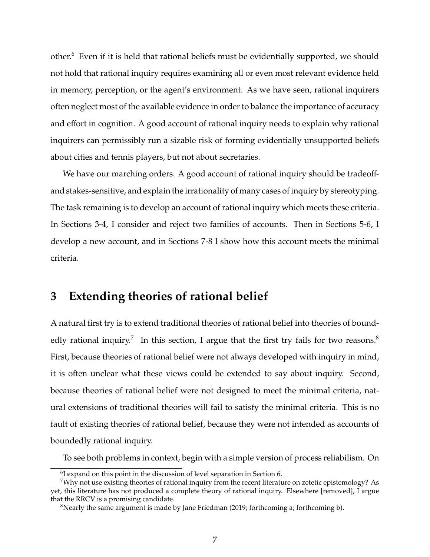other.<sup>6</sup> Even if it is held that rational beliefs must be evidentially supported, we should not hold that rational inquiry requires examining all or even most relevant evidence held in memory, perception, or the agent's environment. As we have seen, rational inquirers often neglect most of the available evidence in order to balance the importance of accuracy and effort in cognition. A good account of rational inquiry needs to explain why rational inquirers can permissibly run a sizable risk of forming evidentially unsupported beliefs about cities and tennis players, but not about secretaries.

We have our marching orders. A good account of rational inquiry should be tradeoffand stakes-sensitive, and explain the irrationality of many cases of inquiry by stereotyping. The task remaining is to develop an account of rational inquiry which meets these criteria. In Sections 3-4, I consider and reject two families of accounts. Then in Sections 5-6, I develop a new account, and in Sections 7-8 I show how this account meets the minimal criteria.

#### **3 Extending theories of rational belief**

A natural first try is to extend traditional theories of rational belief into theories of boundedly rational inquiry.<sup>7</sup> In this section, I argue that the first try fails for two reasons.<sup>8</sup> First, because theories of rational belief were not always developed with inquiry in mind, it is often unclear what these views could be extended to say about inquiry. Second, because theories of rational belief were not designed to meet the minimal criteria, natural extensions of traditional theories will fail to satisfy the minimal criteria. This is no fault of existing theories of rational belief, because they were not intended as accounts of boundedly rational inquiry.

To see both problems in context, begin with a simple version of process reliabilism. On

<sup>&</sup>lt;sup>6</sup>I expand on this point in the discussion of level separation in Section 6.

<sup>&</sup>lt;sup>7</sup>Why not use existing theories of rational inquiry from the recent literature on zetetic epistemology? As yet, this literature has not produced a complete theory of rational inquiry. Elsewhere [removed], I argue that the RRCV is a promising candidate.

<sup>&</sup>lt;sup>8</sup>Nearly the same argument is made by Jane Friedman (2019; forthcoming a; forthcoming b).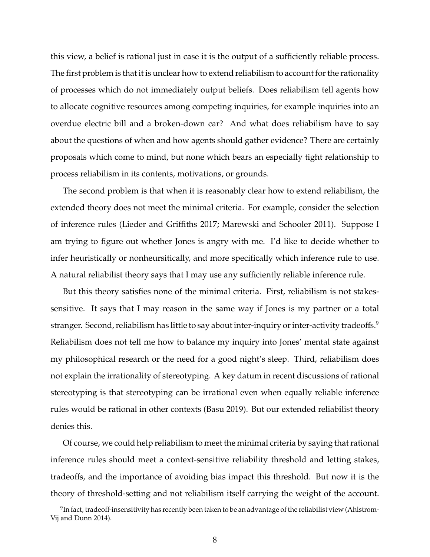this view, a belief is rational just in case it is the output of a sufficiently reliable process. The first problem is that it is unclear how to extend reliabilism to account for the rationality of processes which do not immediately output beliefs. Does reliabilism tell agents how to allocate cognitive resources among competing inquiries, for example inquiries into an overdue electric bill and a broken-down car? And what does reliabilism have to say about the questions of when and how agents should gather evidence? There are certainly proposals which come to mind, but none which bears an especially tight relationship to process reliabilism in its contents, motivations, or grounds.

The second problem is that when it is reasonably clear how to extend reliabilism, the extended theory does not meet the minimal criteria. For example, consider the selection of inference rules (Lieder and Griffiths 2017; Marewski and Schooler 2011). Suppose I am trying to figure out whether Jones is angry with me. I'd like to decide whether to infer heuristically or nonheursitically, and more specifically which inference rule to use. A natural reliabilist theory says that I may use any sufficiently reliable inference rule.

But this theory satisfies none of the minimal criteria. First, reliabilism is not stakessensitive. It says that I may reason in the same way if Jones is my partner or a total stranger. Second, reliabilism has little to say about inter-inquiry or inter-activity tradeoffs.<sup>9</sup> Reliabilism does not tell me how to balance my inquiry into Jones' mental state against my philosophical research or the need for a good night's sleep. Third, reliabilism does not explain the irrationality of stereotyping. A key datum in recent discussions of rational stereotyping is that stereotyping can be irrational even when equally reliable inference rules would be rational in other contexts (Basu 2019). But our extended reliabilist theory denies this.

Of course, we could help reliabilism to meet the minimal criteria by saying that rational inference rules should meet a context-sensitive reliability threshold and letting stakes, tradeoffs, and the importance of avoiding bias impact this threshold. But now it is the theory of threshold-setting and not reliabilism itself carrying the weight of the account.

 $^9$ In fact, tradeoff-insensitivity has recently been taken to be an advantage of the reliabilist view (Ahlstrom-Vij and Dunn 2014).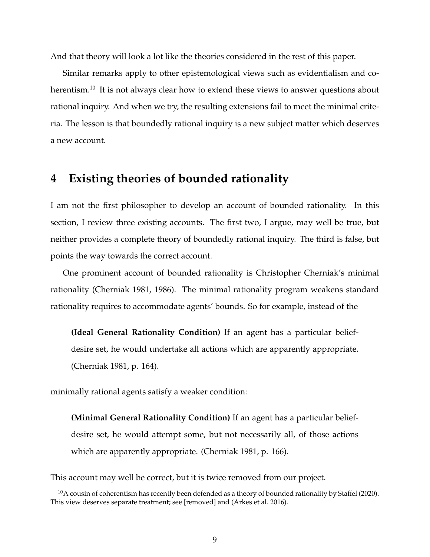And that theory will look a lot like the theories considered in the rest of this paper.

Similar remarks apply to other epistemological views such as evidentialism and coherentism.<sup>10</sup> It is not always clear how to extend these views to answer questions about rational inquiry. And when we try, the resulting extensions fail to meet the minimal criteria. The lesson is that boundedly rational inquiry is a new subject matter which deserves a new account.

#### **4 Existing theories of bounded rationality**

I am not the first philosopher to develop an account of bounded rationality. In this section, I review three existing accounts. The first two, I argue, may well be true, but neither provides a complete theory of boundedly rational inquiry. The third is false, but points the way towards the correct account.

One prominent account of bounded rationality is Christopher Cherniak's minimal rationality (Cherniak 1981, 1986). The minimal rationality program weakens standard rationality requires to accommodate agents' bounds. So for example, instead of the

**(Ideal General Rationality Condition)** If an agent has a particular beliefdesire set, he would undertake all actions which are apparently appropriate. (Cherniak 1981, p. 164).

minimally rational agents satisfy a weaker condition:

**(Minimal General Rationality Condition)** If an agent has a particular beliefdesire set, he would attempt some, but not necessarily all, of those actions which are apparently appropriate. (Cherniak 1981, p. 166).

This account may well be correct, but it is twice removed from our project.

 $10$ A cousin of coherentism has recently been defended as a theory of bounded rationality by Staffel (2020). This view deserves separate treatment; see [removed] and (Arkes et al. 2016).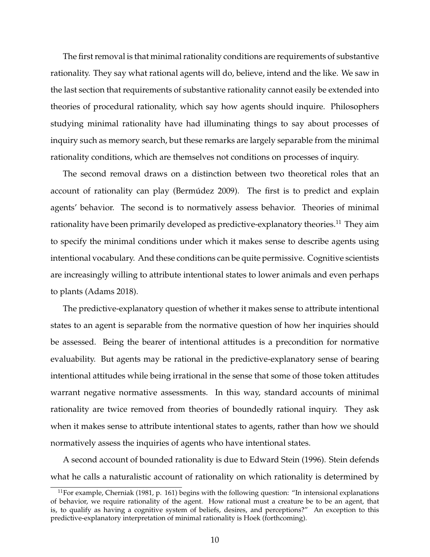The first removal is that minimal rationality conditions are requirements of substantive rationality. They say what rational agents will do, believe, intend and the like. We saw in the last section that requirements of substantive rationality cannot easily be extended into theories of procedural rationality, which say how agents should inquire. Philosophers studying minimal rationality have had illuminating things to say about processes of inquiry such as memory search, but these remarks are largely separable from the minimal rationality conditions, which are themselves not conditions on processes of inquiry.

The second removal draws on a distinction between two theoretical roles that an account of rationality can play (Bermúdez 2009). The first is to predict and explain agents' behavior. The second is to normatively assess behavior. Theories of minimal rationality have been primarily developed as predictive-explanatory theories.<sup>11</sup> They aim to specify the minimal conditions under which it makes sense to describe agents using intentional vocabulary. And these conditions can be quite permissive. Cognitive scientists are increasingly willing to attribute intentional states to lower animals and even perhaps to plants (Adams 2018).

The predictive-explanatory question of whether it makes sense to attribute intentional states to an agent is separable from the normative question of how her inquiries should be assessed. Being the bearer of intentional attitudes is a precondition for normative evaluability. But agents may be rational in the predictive-explanatory sense of bearing intentional attitudes while being irrational in the sense that some of those token attitudes warrant negative normative assessments. In this way, standard accounts of minimal rationality are twice removed from theories of boundedly rational inquiry. They ask when it makes sense to attribute intentional states to agents, rather than how we should normatively assess the inquiries of agents who have intentional states.

A second account of bounded rationality is due to Edward Stein (1996). Stein defends what he calls a naturalistic account of rationality on which rationality is determined by

 $11$  For example, Cherniak (1981, p. 161) begins with the following question: "In intensional explanations of behavior, we require rationality of the agent. How rational must a creature be to be an agent, that is, to qualify as having a cognitive system of beliefs, desires, and perceptions?" An exception to this predictive-explanatory interpretation of minimal rationality is Hoek (forthcoming).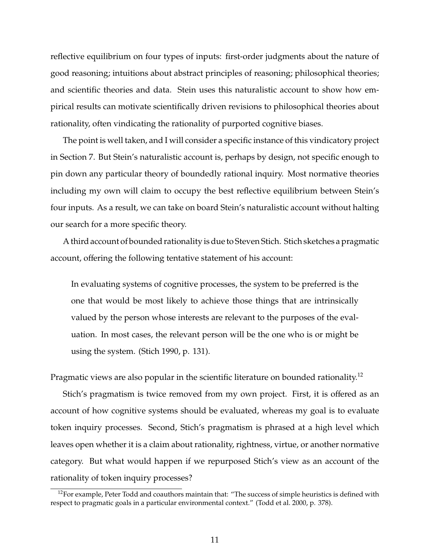reflective equilibrium on four types of inputs: first-order judgments about the nature of good reasoning; intuitions about abstract principles of reasoning; philosophical theories; and scientific theories and data. Stein uses this naturalistic account to show how empirical results can motivate scientifically driven revisions to philosophical theories about rationality, often vindicating the rationality of purported cognitive biases.

The point is well taken, and I will consider a specific instance of this vindicatory project in Section 7. But Stein's naturalistic account is, perhaps by design, not specific enough to pin down any particular theory of boundedly rational inquiry. Most normative theories including my own will claim to occupy the best reflective equilibrium between Stein's four inputs. As a result, we can take on board Stein's naturalistic account without halting our search for a more specific theory.

A third account of bounded rationality is due to Steven Stich. Stich sketches a pragmatic account, offering the following tentative statement of his account:

In evaluating systems of cognitive processes, the system to be preferred is the one that would be most likely to achieve those things that are intrinsically valued by the person whose interests are relevant to the purposes of the evaluation. In most cases, the relevant person will be the one who is or might be using the system. (Stich 1990, p. 131).

Pragmatic views are also popular in the scientific literature on bounded rationality.<sup>12</sup>

Stich's pragmatism is twice removed from my own project. First, it is offered as an account of how cognitive systems should be evaluated, whereas my goal is to evaluate token inquiry processes. Second, Stich's pragmatism is phrased at a high level which leaves open whether it is a claim about rationality, rightness, virtue, or another normative category. But what would happen if we repurposed Stich's view as an account of the rationality of token inquiry processes?

 $12$ For example, Peter Todd and coauthors maintain that: "The success of simple heuristics is defined with respect to pragmatic goals in a particular environmental context." (Todd et al. 2000, p. 378).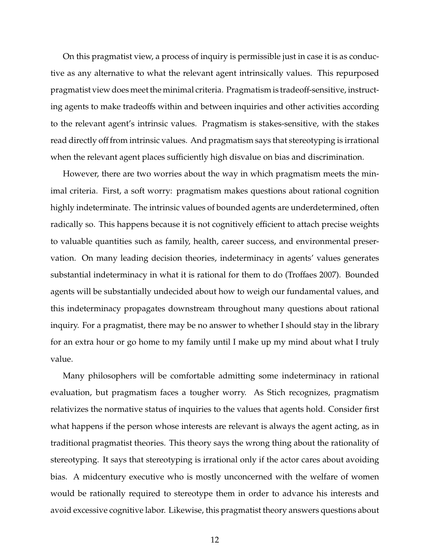On this pragmatist view, a process of inquiry is permissible just in case it is as conductive as any alternative to what the relevant agent intrinsically values. This repurposed pragmatist view does meet the minimal criteria. Pragmatism is tradeoff-sensitive, instructing agents to make tradeoffs within and between inquiries and other activities according to the relevant agent's intrinsic values. Pragmatism is stakes-sensitive, with the stakes read directly off from intrinsic values. And pragmatism says that stereotyping is irrational when the relevant agent places sufficiently high disvalue on bias and discrimination.

However, there are two worries about the way in which pragmatism meets the minimal criteria. First, a soft worry: pragmatism makes questions about rational cognition highly indeterminate. The intrinsic values of bounded agents are underdetermined, often radically so. This happens because it is not cognitively efficient to attach precise weights to valuable quantities such as family, health, career success, and environmental preservation. On many leading decision theories, indeterminacy in agents' values generates substantial indeterminacy in what it is rational for them to do (Troffaes 2007). Bounded agents will be substantially undecided about how to weigh our fundamental values, and this indeterminacy propagates downstream throughout many questions about rational inquiry. For a pragmatist, there may be no answer to whether I should stay in the library for an extra hour or go home to my family until I make up my mind about what I truly value.

Many philosophers will be comfortable admitting some indeterminacy in rational evaluation, but pragmatism faces a tougher worry. As Stich recognizes, pragmatism relativizes the normative status of inquiries to the values that agents hold. Consider first what happens if the person whose interests are relevant is always the agent acting, as in traditional pragmatist theories. This theory says the wrong thing about the rationality of stereotyping. It says that stereotyping is irrational only if the actor cares about avoiding bias. A midcentury executive who is mostly unconcerned with the welfare of women would be rationally required to stereotype them in order to advance his interests and avoid excessive cognitive labor. Likewise, this pragmatist theory answers questions about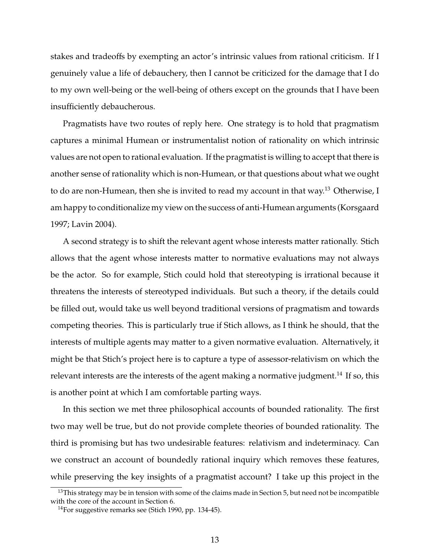stakes and tradeoffs by exempting an actor's intrinsic values from rational criticism. If I genuinely value a life of debauchery, then I cannot be criticized for the damage that I do to my own well-being or the well-being of others except on the grounds that I have been insufficiently debaucherous.

Pragmatists have two routes of reply here. One strategy is to hold that pragmatism captures a minimal Humean or instrumentalist notion of rationality on which intrinsic values are not open to rational evaluation. If the pragmatist is willing to accept that there is another sense of rationality which is non-Humean, or that questions about what we ought to do are non-Humean, then she is invited to read my account in that way.<sup>13</sup> Otherwise, I am happy to conditionalize my view on the success of anti-Humean arguments (Korsgaard 1997; Lavin 2004).

A second strategy is to shift the relevant agent whose interests matter rationally. Stich allows that the agent whose interests matter to normative evaluations may not always be the actor. So for example, Stich could hold that stereotyping is irrational because it threatens the interests of stereotyped individuals. But such a theory, if the details could be filled out, would take us well beyond traditional versions of pragmatism and towards competing theories. This is particularly true if Stich allows, as I think he should, that the interests of multiple agents may matter to a given normative evaluation. Alternatively, it might be that Stich's project here is to capture a type of assessor-relativism on which the relevant interests are the interests of the agent making a normative judgment.<sup>14</sup> If so, this is another point at which I am comfortable parting ways.

In this section we met three philosophical accounts of bounded rationality. The first two may well be true, but do not provide complete theories of bounded rationality. The third is promising but has two undesirable features: relativism and indeterminacy. Can we construct an account of boundedly rational inquiry which removes these features, while preserving the key insights of a pragmatist account? I take up this project in the

<sup>&</sup>lt;sup>13</sup>This strategy may be in tension with some of the claims made in Section 5, but need not be incompatible with the core of the account in Section 6.

<sup>14</sup>For suggestive remarks see (Stich 1990, pp. 134-45).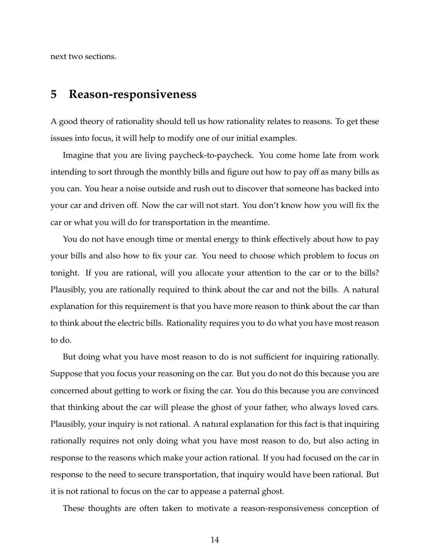next two sections.

## **5 Reason-responsiveness**

A good theory of rationality should tell us how rationality relates to reasons. To get these issues into focus, it will help to modify one of our initial examples.

Imagine that you are living paycheck-to-paycheck. You come home late from work intending to sort through the monthly bills and figure out how to pay off as many bills as you can. You hear a noise outside and rush out to discover that someone has backed into your car and driven off. Now the car will not start. You don't know how you will fix the car or what you will do for transportation in the meantime.

You do not have enough time or mental energy to think effectively about how to pay your bills and also how to fix your car. You need to choose which problem to focus on tonight. If you are rational, will you allocate your attention to the car or to the bills? Plausibly, you are rationally required to think about the car and not the bills. A natural explanation for this requirement is that you have more reason to think about the car than to think about the electric bills. Rationality requires you to do what you have most reason to do.

But doing what you have most reason to do is not sufficient for inquiring rationally. Suppose that you focus your reasoning on the car. But you do not do this because you are concerned about getting to work or fixing the car. You do this because you are convinced that thinking about the car will please the ghost of your father, who always loved cars. Plausibly, your inquiry is not rational. A natural explanation for this fact is that inquiring rationally requires not only doing what you have most reason to do, but also acting in response to the reasons which make your action rational. If you had focused on the car in response to the need to secure transportation, that inquiry would have been rational. But it is not rational to focus on the car to appease a paternal ghost.

These thoughts are often taken to motivate a reason-responsiveness conception of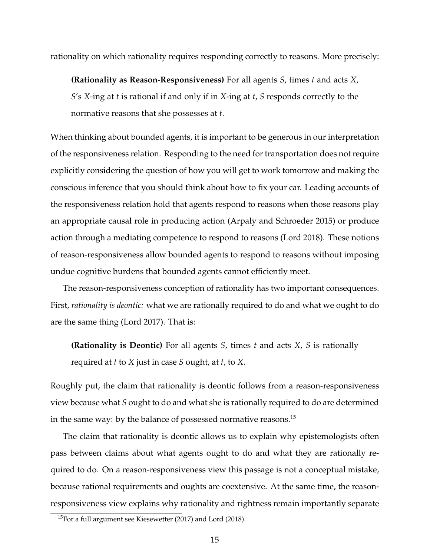rationality on which rationality requires responding correctly to reasons. More precisely:

**(Rationality as Reason-Responsiveness)** For all agents *S*, times *t* and acts *X*, *S*'s *X*-ing at *t* is rational if and only if in *X*-ing at *t*, *S* responds correctly to the normative reasons that she possesses at *t*.

When thinking about bounded agents, it is important to be generous in our interpretation of the responsiveness relation. Responding to the need for transportation does not require explicitly considering the question of how you will get to work tomorrow and making the conscious inference that you should think about how to fix your car. Leading accounts of the responsiveness relation hold that agents respond to reasons when those reasons play an appropriate causal role in producing action (Arpaly and Schroeder 2015) or produce action through a mediating competence to respond to reasons (Lord 2018). These notions of reason-responsiveness allow bounded agents to respond to reasons without imposing undue cognitive burdens that bounded agents cannot efficiently meet.

The reason-responsiveness conception of rationality has two important consequences. First, *rationality is deontic:* what we are rationally required to do and what we ought to do are the same thing (Lord 2017). That is:

**(Rationality is Deontic)** For all agents *S*, times *t* and acts *X*, *S* is rationally required at *t* to *X* just in case *S* ought, at *t*, to *X*.

Roughly put, the claim that rationality is deontic follows from a reason-responsiveness view because what *S* ought to do and what she is rationally required to do are determined in the same way: by the balance of possessed normative reasons.<sup>15</sup>

The claim that rationality is deontic allows us to explain why epistemologists often pass between claims about what agents ought to do and what they are rationally required to do. On a reason-responsiveness view this passage is not a conceptual mistake, because rational requirements and oughts are coextensive. At the same time, the reasonresponsiveness view explains why rationality and rightness remain importantly separate

 $15$ For a full argument see Kiesewetter (2017) and Lord (2018).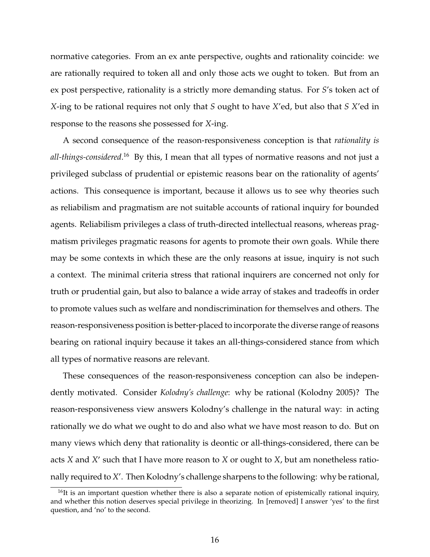normative categories. From an ex ante perspective, oughts and rationality coincide: we are rationally required to token all and only those acts we ought to token. But from an ex post perspective, rationality is a strictly more demanding status. For *S*'s token act of *X*-ing to be rational requires not only that *S* ought to have *X*'ed, but also that *S X*'ed in response to the reasons she possessed for *X*-ing.

A second consequence of the reason-responsiveness conception is that *rationality is all-things-considered*. <sup>16</sup> By this, I mean that all types of normative reasons and not just a privileged subclass of prudential or epistemic reasons bear on the rationality of agents' actions. This consequence is important, because it allows us to see why theories such as reliabilism and pragmatism are not suitable accounts of rational inquiry for bounded agents. Reliabilism privileges a class of truth-directed intellectual reasons, whereas pragmatism privileges pragmatic reasons for agents to promote their own goals. While there may be some contexts in which these are the only reasons at issue, inquiry is not such a context. The minimal criteria stress that rational inquirers are concerned not only for truth or prudential gain, but also to balance a wide array of stakes and tradeoffs in order to promote values such as welfare and nondiscrimination for themselves and others. The reason-responsiveness position is better-placed to incorporate the diverse range of reasons bearing on rational inquiry because it takes an all-things-considered stance from which all types of normative reasons are relevant.

These consequences of the reason-responsiveness conception can also be independently motivated. Consider *Kolodny's challenge*: why be rational (Kolodny 2005)? The reason-responsiveness view answers Kolodny's challenge in the natural way: in acting rationally we do what we ought to do and also what we have most reason to do. But on many views which deny that rationality is deontic or all-things-considered, there can be acts *X* and *X'* such that I have more reason to *X* or ought to *X*, but am nonetheless rationally required to X'. Then Kolodny's challenge sharpens to the following: why be rational,

 $16$ It is an important question whether there is also a separate notion of epistemically rational inquiry, and whether this notion deserves special privilege in theorizing. In [removed] I answer 'yes' to the first question, and 'no' to the second.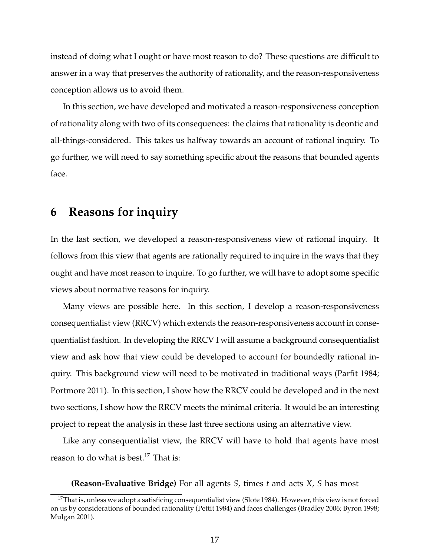instead of doing what I ought or have most reason to do? These questions are difficult to answer in a way that preserves the authority of rationality, and the reason-responsiveness conception allows us to avoid them.

In this section, we have developed and motivated a reason-responsiveness conception of rationality along with two of its consequences: the claims that rationality is deontic and all-things-considered. This takes us halfway towards an account of rational inquiry. To go further, we will need to say something specific about the reasons that bounded agents face.

#### **6 Reasons for inquiry**

In the last section, we developed a reason-responsiveness view of rational inquiry. It follows from this view that agents are rationally required to inquire in the ways that they ought and have most reason to inquire. To go further, we will have to adopt some specific views about normative reasons for inquiry.

Many views are possible here. In this section, I develop a reason-responsiveness consequentialist view (RRCV) which extends the reason-responsiveness account in consequentialist fashion. In developing the RRCV I will assume a background consequentialist view and ask how that view could be developed to account for boundedly rational inquiry. This background view will need to be motivated in traditional ways (Parfit 1984; Portmore 2011). In this section, I show how the RRCV could be developed and in the next two sections, I show how the RRCV meets the minimal criteria. It would be an interesting project to repeat the analysis in these last three sections using an alternative view.

Like any consequentialist view, the RRCV will have to hold that agents have most reason to do what is best.<sup>17</sup> That is:

**(Reason-Evaluative Bridge)** For all agents *S*, times *t* and acts *X*, *S* has most

<sup>&</sup>lt;sup>17</sup>That is, unless we adopt a satisficing consequentialist view (Slote 1984). However, this view is not forced on us by considerations of bounded rationality (Pettit 1984) and faces challenges (Bradley 2006; Byron 1998; Mulgan 2001).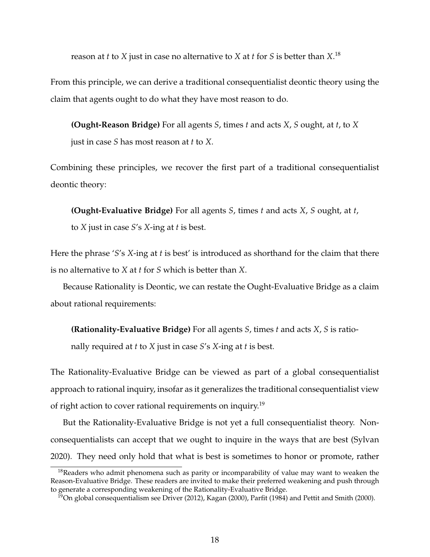reason at *t* to *X* just in case no alternative to *X* at *t* for *S* is better than *X*. 18

From this principle, we can derive a traditional consequentialist deontic theory using the claim that agents ought to do what they have most reason to do.

**(Ought-Reason Bridge)** For all agents *S*, times *t* and acts *X*, *S* ought, at *t*, to *X* just in case *S* has most reason at *t* to *X*.

Combining these principles, we recover the first part of a traditional consequentialist deontic theory:

**(Ought-Evaluative Bridge)** For all agents *S*, times *t* and acts *X*, *S* ought, at *t*, to *X* just in case *S*'s *X*-ing at *t* is best.

Here the phrase '*S*'s *X*-ing at *t* is best' is introduced as shorthand for the claim that there is no alternative to *X* at *t* for *S* which is better than *X*.

Because Rationality is Deontic, we can restate the Ought-Evaluative Bridge as a claim about rational requirements:

**(Rationality-Evaluative Bridge)** For all agents *S*, times *t* and acts *X*, *S* is ratio-

nally required at *t* to *X* just in case *S*'s *X*-ing at *t* is best.

The Rationality-Evaluative Bridge can be viewed as part of a global consequentialist approach to rational inquiry, insofar as it generalizes the traditional consequentialist view of right action to cover rational requirements on inquiry.<sup>19</sup>

But the Rationality-Evaluative Bridge is not yet a full consequentialist theory. Nonconsequentialists can accept that we ought to inquire in the ways that are best (Sylvan 2020). They need only hold that what is best is sometimes to honor or promote, rather

<sup>&</sup>lt;sup>18</sup>Readers who admit phenomena such as parity or incomparability of value may want to weaken the Reason-Evaluative Bridge. These readers are invited to make their preferred weakening and push through to generate a corresponding weakening of the Rationality-Evaluative Bridge.

<sup>&</sup>lt;sup>19</sup>On global consequentialism see Driver (2012), Kagan (2000), Parfit (1984) and Pettit and Smith (2000).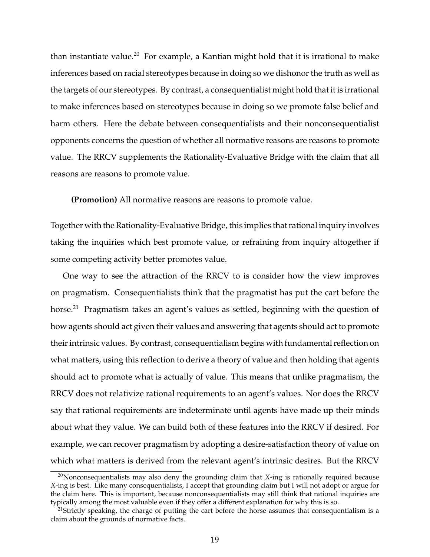than instantiate value.<sup>20</sup> For example, a Kantian might hold that it is irrational to make inferences based on racial stereotypes because in doing so we dishonor the truth as well as the targets of our stereotypes. By contrast, a consequentialist might hold that it is irrational to make inferences based on stereotypes because in doing so we promote false belief and harm others. Here the debate between consequentialists and their nonconsequentialist opponents concerns the question of whether all normative reasons are reasons to promote value. The RRCV supplements the Rationality-Evaluative Bridge with the claim that all reasons are reasons to promote value.

**(Promotion)** All normative reasons are reasons to promote value.

Together with the Rationality-Evaluative Bridge, this implies that rational inquiry involves taking the inquiries which best promote value, or refraining from inquiry altogether if some competing activity better promotes value.

One way to see the attraction of the RRCV to is consider how the view improves on pragmatism. Consequentialists think that the pragmatist has put the cart before the horse.<sup>21</sup> Pragmatism takes an agent's values as settled, beginning with the question of how agents should act given their values and answering that agents should act to promote their intrinsic values. By contrast, consequentialism begins with fundamental reflection on what matters, using this reflection to derive a theory of value and then holding that agents should act to promote what is actually of value. This means that unlike pragmatism, the RRCV does not relativize rational requirements to an agent's values. Nor does the RRCV say that rational requirements are indeterminate until agents have made up their minds about what they value. We can build both of these features into the RRCV if desired. For example, we can recover pragmatism by adopting a desire-satisfaction theory of value on which what matters is derived from the relevant agent's intrinsic desires. But the RRCV

<sup>20</sup>Nonconsequentialists may also deny the grounding claim that *X*-ing is rationally required because *X*-ing is best. Like many consequentialists, I accept that grounding claim but I will not adopt or argue for the claim here. This is important, because nonconsequentialists may still think that rational inquiries are typically among the most valuable even if they offer a different explanation for why this is so.

<sup>&</sup>lt;sup>21</sup>Strictly speaking, the charge of putting the cart before the horse assumes that consequentialism is a claim about the grounds of normative facts.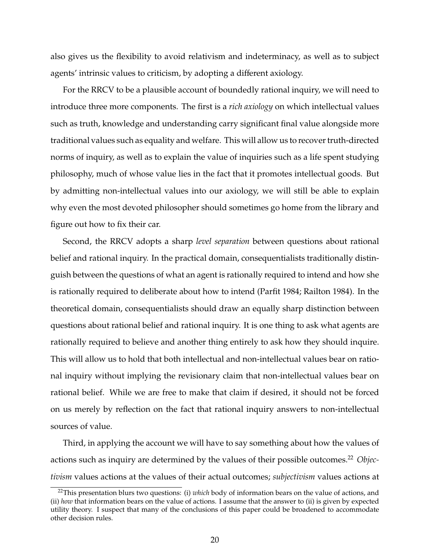also gives us the flexibility to avoid relativism and indeterminacy, as well as to subject agents' intrinsic values to criticism, by adopting a different axiology.

For the RRCV to be a plausible account of boundedly rational inquiry, we will need to introduce three more components. The first is a *rich axiology* on which intellectual values such as truth, knowledge and understanding carry significant final value alongside more traditional values such as equality and welfare. This will allow us to recover truth-directed norms of inquiry, as well as to explain the value of inquiries such as a life spent studying philosophy, much of whose value lies in the fact that it promotes intellectual goods. But by admitting non-intellectual values into our axiology, we will still be able to explain why even the most devoted philosopher should sometimes go home from the library and figure out how to fix their car.

Second, the RRCV adopts a sharp *level separation* between questions about rational belief and rational inquiry. In the practical domain, consequentialists traditionally distinguish between the questions of what an agent is rationally required to intend and how she is rationally required to deliberate about how to intend (Parfit 1984; Railton 1984). In the theoretical domain, consequentialists should draw an equally sharp distinction between questions about rational belief and rational inquiry. It is one thing to ask what agents are rationally required to believe and another thing entirely to ask how they should inquire. This will allow us to hold that both intellectual and non-intellectual values bear on rational inquiry without implying the revisionary claim that non-intellectual values bear on rational belief. While we are free to make that claim if desired, it should not be forced on us merely by reflection on the fact that rational inquiry answers to non-intellectual sources of value.

Third, in applying the account we will have to say something about how the values of actions such as inquiry are determined by the values of their possible outcomes.<sup>22</sup> Objec*tivism* values actions at the values of their actual outcomes; *subjectivism* values actions at

<sup>22</sup>This presentation blurs two questions: (i) *which* body of information bears on the value of actions, and (ii) *how* that information bears on the value of actions. I assume that the answer to (ii) is given by expected utility theory. I suspect that many of the conclusions of this paper could be broadened to accommodate other decision rules.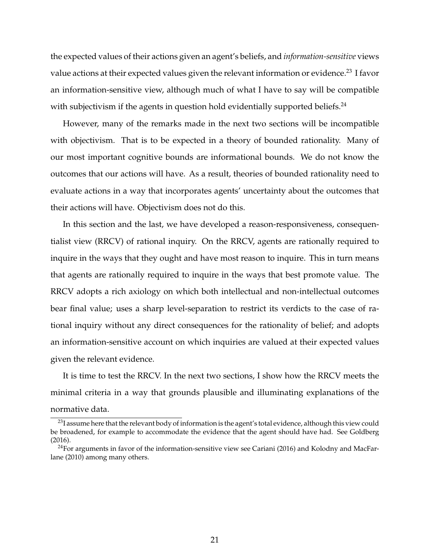the expected values of their actions given an agent's beliefs, and *information-sensitive* views value actions at their expected values given the relevant information or evidence.<sup>23</sup> I favor an information-sensitive view, although much of what I have to say will be compatible with subjectivism if the agents in question hold evidentially supported beliefs.<sup>24</sup>

However, many of the remarks made in the next two sections will be incompatible with objectivism. That is to be expected in a theory of bounded rationality. Many of our most important cognitive bounds are informational bounds. We do not know the outcomes that our actions will have. As a result, theories of bounded rationality need to evaluate actions in a way that incorporates agents' uncertainty about the outcomes that their actions will have. Objectivism does not do this.

In this section and the last, we have developed a reason-responsiveness, consequentialist view (RRCV) of rational inquiry. On the RRCV, agents are rationally required to inquire in the ways that they ought and have most reason to inquire. This in turn means that agents are rationally required to inquire in the ways that best promote value. The RRCV adopts a rich axiology on which both intellectual and non-intellectual outcomes bear final value; uses a sharp level-separation to restrict its verdicts to the case of rational inquiry without any direct consequences for the rationality of belief; and adopts an information-sensitive account on which inquiries are valued at their expected values given the relevant evidence.

It is time to test the RRCV. In the next two sections, I show how the RRCV meets the minimal criteria in a way that grounds plausible and illuminating explanations of the normative data.

 $^{23}$ I assume here that the relevant body of information is the agent's total evidence, although this view could be broadened, for example to accommodate the evidence that the agent should have had. See Goldberg (2016).

<sup>&</sup>lt;sup>24</sup>For arguments in favor of the information-sensitive view see Cariani (2016) and Kolodny and MacFarlane (2010) among many others.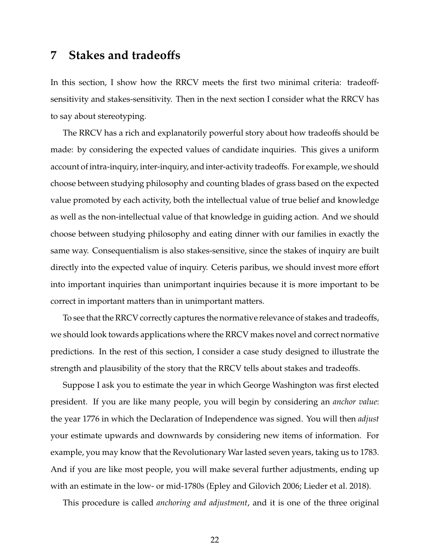### **7 Stakes and tradeo**ff**s**

In this section, I show how the RRCV meets the first two minimal criteria: tradeoffsensitivity and stakes-sensitivity. Then in the next section I consider what the RRCV has to say about stereotyping.

The RRCV has a rich and explanatorily powerful story about how tradeoffs should be made: by considering the expected values of candidate inquiries. This gives a uniform account of intra-inquiry, inter-inquiry, and inter-activity tradeoffs. For example, we should choose between studying philosophy and counting blades of grass based on the expected value promoted by each activity, both the intellectual value of true belief and knowledge as well as the non-intellectual value of that knowledge in guiding action. And we should choose between studying philosophy and eating dinner with our families in exactly the same way. Consequentialism is also stakes-sensitive, since the stakes of inquiry are built directly into the expected value of inquiry. Ceteris paribus, we should invest more effort into important inquiries than unimportant inquiries because it is more important to be correct in important matters than in unimportant matters.

To see that the RRCV correctly captures the normative relevance of stakes and tradeoffs, we should look towards applications where the RRCV makes novel and correct normative predictions. In the rest of this section, I consider a case study designed to illustrate the strength and plausibility of the story that the RRCV tells about stakes and tradeoffs.

Suppose I ask you to estimate the year in which George Washington was first elected president. If you are like many people, you will begin by considering an *anchor value*: the year 1776 in which the Declaration of Independence was signed. You will then *adjust* your estimate upwards and downwards by considering new items of information. For example, you may know that the Revolutionary War lasted seven years, taking us to 1783. And if you are like most people, you will make several further adjustments, ending up with an estimate in the low- or mid-1780s (Epley and Gilovich 2006; Lieder et al. 2018).

This procedure is called *anchoring and adjustment*, and it is one of the three original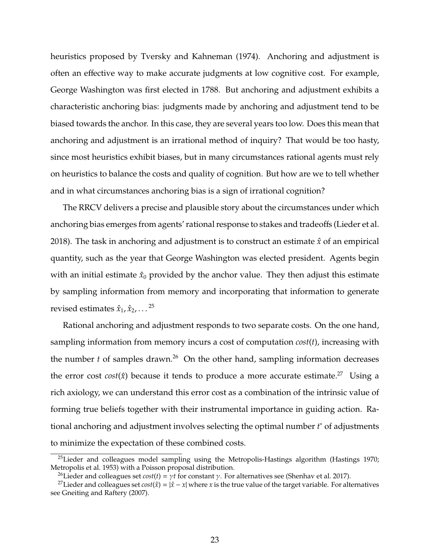heuristics proposed by Tversky and Kahneman (1974). Anchoring and adjustment is often an effective way to make accurate judgments at low cognitive cost. For example, George Washington was first elected in 1788. But anchoring and adjustment exhibits a characteristic anchoring bias: judgments made by anchoring and adjustment tend to be biased towards the anchor. In this case, they are several years too low. Does this mean that anchoring and adjustment is an irrational method of inquiry? That would be too hasty, since most heuristics exhibit biases, but in many circumstances rational agents must rely on heuristics to balance the costs and quality of cognition. But how are we to tell whether and in what circumstances anchoring bias is a sign of irrational cognition?

The RRCV delivers a precise and plausible story about the circumstances under which anchoring bias emerges from agents' rational response to stakes and tradeoffs (Lieder et al. 2018). The task in anchoring and adjustment is to construct an estimate *x*ˆ of an empirical quantity, such as the year that George Washington was elected president. Agents begin with an initial estimate  $\hat{x}_0$  provided by the anchor value. They then adjust this estimate by sampling information from memory and incorporating that information to generate revised estimates  $\hat{x}_1, \hat{x}_2, \ldots^{25}$ 

Rational anchoring and adjustment responds to two separate costs. On the one hand, sampling information from memory incurs a cost of computation *cost*(*t*), increasing with the number  $t$  of samples drawn.<sup>26</sup> On the other hand, sampling information decreases the error cost *cost*( $\hat{x}$ ) because it tends to produce a more accurate estimate.<sup>27</sup> Using a rich axiology, we can understand this error cost as a combination of the intrinsic value of forming true beliefs together with their instrumental importance in guiding action. Rational anchoring and adjustment involves selecting the optimal number *t* <sup>∗</sup> of adjustments to minimize the expectation of these combined costs.

 $25$ Lieder and colleagues model sampling using the Metropolis-Hastings algorithm (Hastings 1970; Metropolis et al. 1953) with a Poisson proposal distribution.

<sup>&</sup>lt;sup>26</sup>Lieder and colleagues set *cost*(*t*) =  $\gamma t$  for constant  $\gamma$ . For alternatives see (Shenhav et al. 2017).

<sup>&</sup>lt;sup>27</sup>Lieder and colleagues set  $cost(\hat{x}) = |\hat{x} - x|$  where *x* is the true value of the target variable. For alternatives see Gneiting and Raftery (2007).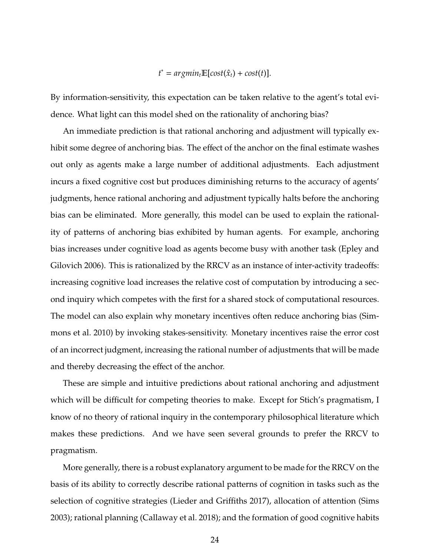## $t^* = argmin_t \mathbb{E}[cost(\hat{x}_t) + cost(t)].$

By information-sensitivity, this expectation can be taken relative to the agent's total evidence. What light can this model shed on the rationality of anchoring bias?

An immediate prediction is that rational anchoring and adjustment will typically exhibit some degree of anchoring bias. The effect of the anchor on the final estimate washes out only as agents make a large number of additional adjustments. Each adjustment incurs a fixed cognitive cost but produces diminishing returns to the accuracy of agents' judgments, hence rational anchoring and adjustment typically halts before the anchoring bias can be eliminated. More generally, this model can be used to explain the rationality of patterns of anchoring bias exhibited by human agents. For example, anchoring bias increases under cognitive load as agents become busy with another task (Epley and Gilovich 2006). This is rationalized by the RRCV as an instance of inter-activity tradeoffs: increasing cognitive load increases the relative cost of computation by introducing a second inquiry which competes with the first for a shared stock of computational resources. The model can also explain why monetary incentives often reduce anchoring bias (Simmons et al. 2010) by invoking stakes-sensitivity. Monetary incentives raise the error cost of an incorrect judgment, increasing the rational number of adjustments that will be made and thereby decreasing the effect of the anchor.

These are simple and intuitive predictions about rational anchoring and adjustment which will be difficult for competing theories to make. Except for Stich's pragmatism, I know of no theory of rational inquiry in the contemporary philosophical literature which makes these predictions. And we have seen several grounds to prefer the RRCV to pragmatism.

More generally, there is a robust explanatory argument to be made for the RRCV on the basis of its ability to correctly describe rational patterns of cognition in tasks such as the selection of cognitive strategies (Lieder and Griffiths 2017), allocation of attention (Sims 2003); rational planning (Callaway et al. 2018); and the formation of good cognitive habits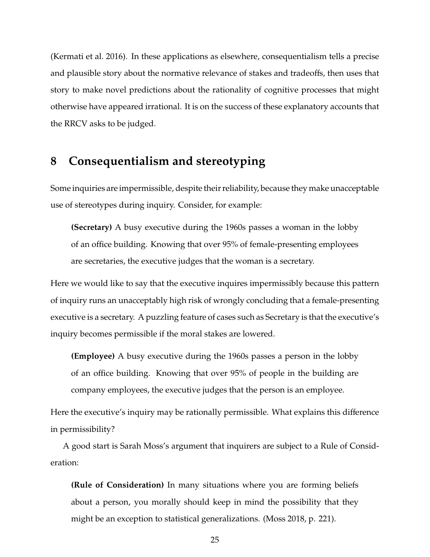(Kermati et al. 2016). In these applications as elsewhere, consequentialism tells a precise and plausible story about the normative relevance of stakes and tradeoffs, then uses that story to make novel predictions about the rationality of cognitive processes that might otherwise have appeared irrational. It is on the success of these explanatory accounts that the RRCV asks to be judged.

## **8 Consequentialism and stereotyping**

Some inquiries are impermissible, despite their reliability, because they make unacceptable use of stereotypes during inquiry. Consider, for example:

**(Secretary)** A busy executive during the 1960s passes a woman in the lobby of an office building. Knowing that over 95% of female-presenting employees are secretaries, the executive judges that the woman is a secretary.

Here we would like to say that the executive inquires impermissibly because this pattern of inquiry runs an unacceptably high risk of wrongly concluding that a female-presenting executive is a secretary. A puzzling feature of cases such as Secretary is that the executive's inquiry becomes permissible if the moral stakes are lowered.

**(Employee)** A busy executive during the 1960s passes a person in the lobby of an office building. Knowing that over 95% of people in the building are company employees, the executive judges that the person is an employee.

Here the executive's inquiry may be rationally permissible. What explains this difference in permissibility?

A good start is Sarah Moss's argument that inquirers are subject to a Rule of Consideration:

**(Rule of Consideration)** In many situations where you are forming beliefs about a person, you morally should keep in mind the possibility that they might be an exception to statistical generalizations. (Moss 2018, p. 221).

25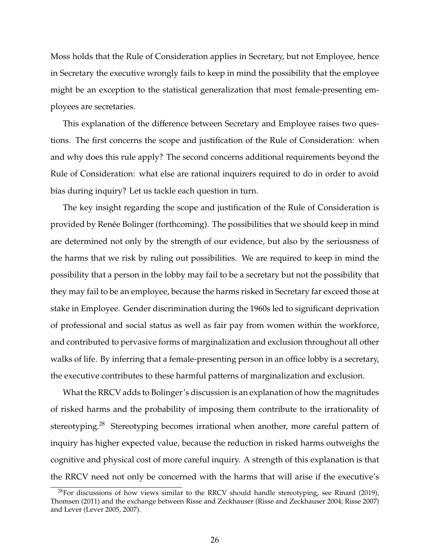Moss holds that the Rule of Consideration applies in Secretary, but not Employee, hence in Secretary the executive wrongly fails to keep in mind the possibility that the employee might be an exception to the statistical generalization that most female-presenting employees are secretaries.

This explanation of the difference between Secretary and Employee raises two questions. The first concerns the scope and justification of the Rule of Consideration: when and why does this rule apply? The second concerns additional requirements beyond the Rule of Consideration: what else are rational inquirers required to do in order to avoid bias during inquiry? Let us tackle each question in turn.

The key insight regarding the scope and justification of the Rule of Consideration is provided by Renée Bolinger (forthcoming). The possibilities that we should keep in mind are determined not only by the strength of our evidence, but also by the seriousness of the harms that we risk by ruling out possibilities. We are required to keep in mind the possibility that a person in the lobby may fail to be a secretary but not the possibility that they may fail to be an employee, because the harms risked in Secretary far exceed those at stake in Employee. Gender discrimination during the 1960s led to significant deprivation of professional and social status as well as fair pay from women within the workforce, and contributed to pervasive forms of marginalization and exclusion throughout all other walks of life. By inferring that a female-presenting person in an office lobby is a secretary, the executive contributes to these harmful patterns of marginalization and exclusion.

What the RRCV adds to Bolinger's discussion is an explanation of how the magnitudes of risked harms and the probability of imposing them contribute to the irrationality of stereotyping.<sup>28</sup> Stereotyping becomes irrational when another, more careful pattern of inquiry has higher expected value, because the reduction in risked harms outweighs the cognitive and physical cost of more careful inquiry. A strength of this explanation is that the RRCV need not only be concerned with the harms that will arise if the executive's

 $^{28}$ For discussions of how views similar to the RRCV should handle stereotyping, see Rinard (2019), Thomsen (2011) and the exchange between Risse and Zeckhauser (Risse and Zeckhauser 2004; Risse 2007) and Lever (Lever 2005, 2007).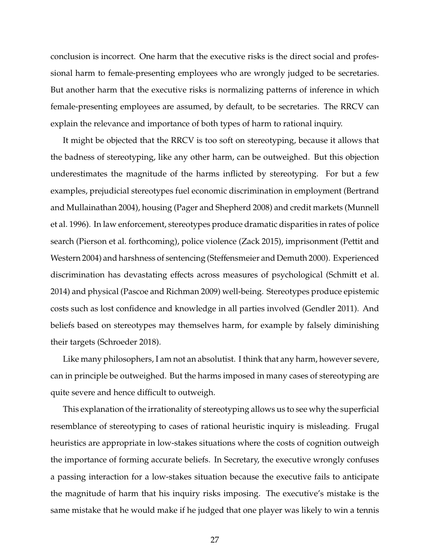conclusion is incorrect. One harm that the executive risks is the direct social and professional harm to female-presenting employees who are wrongly judged to be secretaries. But another harm that the executive risks is normalizing patterns of inference in which female-presenting employees are assumed, by default, to be secretaries. The RRCV can explain the relevance and importance of both types of harm to rational inquiry.

It might be objected that the RRCV is too soft on stereotyping, because it allows that the badness of stereotyping, like any other harm, can be outweighed. But this objection underestimates the magnitude of the harms inflicted by stereotyping. For but a few examples, prejudicial stereotypes fuel economic discrimination in employment (Bertrand and Mullainathan 2004), housing (Pager and Shepherd 2008) and credit markets (Munnell et al. 1996). In law enforcement, stereotypes produce dramatic disparities in rates of police search (Pierson et al. forthcoming), police violence (Zack 2015), imprisonment (Pettit and Western 2004) and harshness of sentencing (Steffensmeier and Demuth 2000). Experienced discrimination has devastating effects across measures of psychological (Schmitt et al. 2014) and physical (Pascoe and Richman 2009) well-being. Stereotypes produce epistemic costs such as lost confidence and knowledge in all parties involved (Gendler 2011). And beliefs based on stereotypes may themselves harm, for example by falsely diminishing their targets (Schroeder 2018).

Like many philosophers, I am not an absolutist. I think that any harm, however severe, can in principle be outweighed. But the harms imposed in many cases of stereotyping are quite severe and hence difficult to outweigh.

This explanation of the irrationality of stereotyping allows us to see why the superficial resemblance of stereotyping to cases of rational heuristic inquiry is misleading. Frugal heuristics are appropriate in low-stakes situations where the costs of cognition outweigh the importance of forming accurate beliefs. In Secretary, the executive wrongly confuses a passing interaction for a low-stakes situation because the executive fails to anticipate the magnitude of harm that his inquiry risks imposing. The executive's mistake is the same mistake that he would make if he judged that one player was likely to win a tennis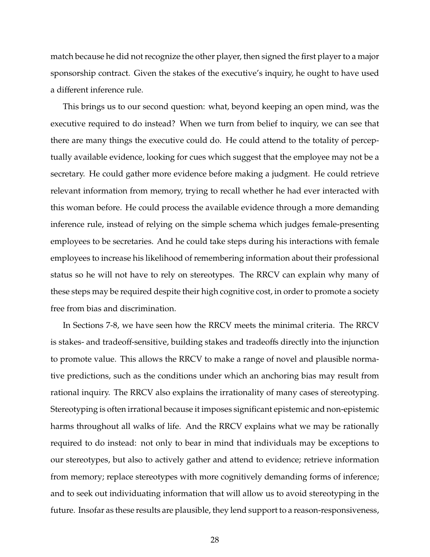match because he did not recognize the other player, then signed the first player to a major sponsorship contract. Given the stakes of the executive's inquiry, he ought to have used a different inference rule.

This brings us to our second question: what, beyond keeping an open mind, was the executive required to do instead? When we turn from belief to inquiry, we can see that there are many things the executive could do. He could attend to the totality of perceptually available evidence, looking for cues which suggest that the employee may not be a secretary. He could gather more evidence before making a judgment. He could retrieve relevant information from memory, trying to recall whether he had ever interacted with this woman before. He could process the available evidence through a more demanding inference rule, instead of relying on the simple schema which judges female-presenting employees to be secretaries. And he could take steps during his interactions with female employees to increase his likelihood of remembering information about their professional status so he will not have to rely on stereotypes. The RRCV can explain why many of these steps may be required despite their high cognitive cost, in order to promote a society free from bias and discrimination.

In Sections 7-8, we have seen how the RRCV meets the minimal criteria. The RRCV is stakes- and tradeoff-sensitive, building stakes and tradeoffs directly into the injunction to promote value. This allows the RRCV to make a range of novel and plausible normative predictions, such as the conditions under which an anchoring bias may result from rational inquiry. The RRCV also explains the irrationality of many cases of stereotyping. Stereotyping is often irrational because it imposes significant epistemic and non-epistemic harms throughout all walks of life. And the RRCV explains what we may be rationally required to do instead: not only to bear in mind that individuals may be exceptions to our stereotypes, but also to actively gather and attend to evidence; retrieve information from memory; replace stereotypes with more cognitively demanding forms of inference; and to seek out individuating information that will allow us to avoid stereotyping in the future. Insofar as these results are plausible, they lend support to a reason-responsiveness,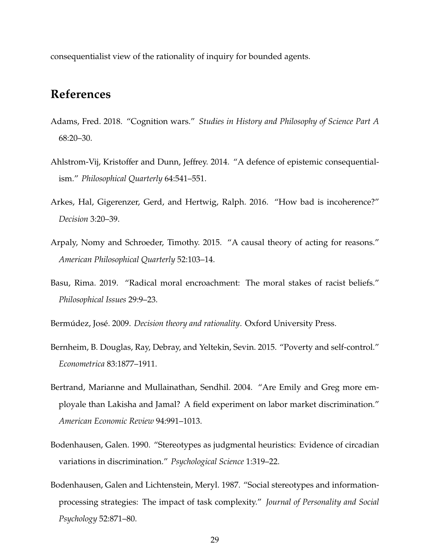consequentialist view of the rationality of inquiry for bounded agents.

## **References**

- Adams, Fred. 2018. "Cognition wars." *Studies in History and Philosophy of Science Part A* 68:20–30.
- Ahlstrom-Vij, Kristoffer and Dunn, Jeffrey. 2014. "A defence of epistemic consequentialism." *Philosophical Quarterly* 64:541–551.
- Arkes, Hal, Gigerenzer, Gerd, and Hertwig, Ralph. 2016. "How bad is incoherence?" *Decision* 3:20–39.
- Arpaly, Nomy and Schroeder, Timothy. 2015. "A causal theory of acting for reasons." *American Philosophical Quarterly* 52:103–14.
- Basu, Rima. 2019. "Radical moral encroachment: The moral stakes of racist beliefs." *Philosophical Issues* 29:9–23.
- Bermúdez, José. 2009. *Decision theory and rationality*. Oxford University Press.
- Bernheim, B. Douglas, Ray, Debray, and Yeltekin, Sevin. 2015. "Poverty and self-control." *Econometrica* 83:1877–1911.
- Bertrand, Marianne and Mullainathan, Sendhil. 2004. "Are Emily and Greg more employale than Lakisha and Jamal? A field experiment on labor market discrimination." *American Economic Review* 94:991–1013.
- Bodenhausen, Galen. 1990. "Stereotypes as judgmental heuristics: Evidence of circadian variations in discrimination." *Psychological Science* 1:319–22.
- Bodenhausen, Galen and Lichtenstein, Meryl. 1987. "Social stereotypes and informationprocessing strategies: The impact of task complexity." *Journal of Personality and Social Psychology* 52:871–80.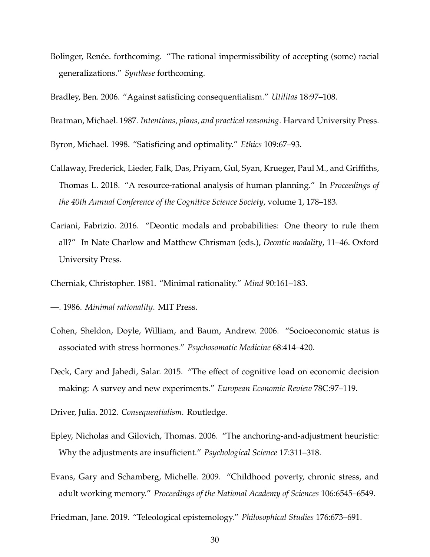- Bolinger, Renée. forthcoming. "The rational impermissibility of accepting (some) racial generalizations." *Synthese* forthcoming.
- Bradley, Ben. 2006. "Against satisficing consequentialism." *Utilitas* 18:97–108.

Bratman, Michael. 1987. *Intentions, plans, and practical reasoning*. Harvard University Press.

Byron, Michael. 1998. "Satisficing and optimality." *Ethics* 109:67–93.

- Callaway, Frederick, Lieder, Falk, Das, Priyam, Gul, Syan, Krueger, Paul M., and Griffiths, Thomas L. 2018. "A resource-rational analysis of human planning." In *Proceedings of the 40th Annual Conference of the Cognitive Science Society*, volume 1, 178–183.
- Cariani, Fabrizio. 2016. "Deontic modals and probabilities: One theory to rule them all?" In Nate Charlow and Matthew Chrisman (eds.), *Deontic modality*, 11–46. Oxford University Press.
- Cherniak, Christopher. 1981. "Minimal rationality." *Mind* 90:161–183.
- —. 1986. *Minimal rationality*. MIT Press.
- Cohen, Sheldon, Doyle, William, and Baum, Andrew. 2006. "Socioeconomic status is associated with stress hormones." *Psychosomatic Medicine* 68:414–420.
- Deck, Cary and Jahedi, Salar. 2015. "The effect of cognitive load on economic decision making: A survey and new experiments." *European Economic Review* 78C:97–119.
- Driver, Julia. 2012. *Consequentialism*. Routledge.
- Epley, Nicholas and Gilovich, Thomas. 2006. "The anchoring-and-adjustment heuristic: Why the adjustments are insufficient." *Psychological Science* 17:311–318.
- Evans, Gary and Schamberg, Michelle. 2009. "Childhood poverty, chronic stress, and adult working memory." *Proceedings of the National Academy of Sciences* 106:6545–6549.

Friedman, Jane. 2019. "Teleological epistemology." *Philosophical Studies* 176:673–691.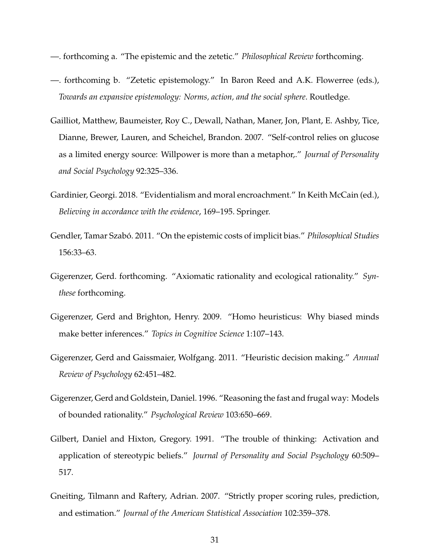- —. forthcoming a. "The epistemic and the zetetic." *Philosophical Review* forthcoming.
- —. forthcoming b. "Zetetic epistemology." In Baron Reed and A.K. Flowerree (eds.), *Towards an expansive epistemology: Norms, action, and the social sphere*. Routledge.
- Gailliot, Matthew, Baumeister, Roy C., Dewall, Nathan, Maner, Jon, Plant, E. Ashby, Tice, Dianne, Brewer, Lauren, and Scheichel, Brandon. 2007. "Self-control relies on glucose as a limited energy source: Willpower is more than a metaphor,." *Journal of Personality and Social Psychology* 92:325–336.
- Gardinier, Georgi. 2018. "Evidentialism and moral encroachment." In Keith McCain (ed.), *Believing in accordance with the evidence*, 169–195. Springer.
- Gendler, Tamar Szabó. 2011. "On the epistemic costs of implicit bias." *Philosophical Studies* 156:33–63.
- Gigerenzer, Gerd. forthcoming. "Axiomatic rationality and ecological rationality." *Synthese* forthcoming.
- Gigerenzer, Gerd and Brighton, Henry. 2009. "Homo heuristicus: Why biased minds make better inferences." *Topics in Cognitive Science* 1:107–143.
- Gigerenzer, Gerd and Gaissmaier, Wolfgang. 2011. "Heuristic decision making." *Annual Review of Psychology* 62:451–482.
- Gigerenzer, Gerd and Goldstein, Daniel. 1996. "Reasoning the fast and frugal way: Models of bounded rationality." *Psychological Review* 103:650–669.
- Gilbert, Daniel and Hixton, Gregory. 1991. "The trouble of thinking: Activation and application of stereotypic beliefs." *Journal of Personality and Social Psychology* 60:509– 517.
- Gneiting, Tilmann and Raftery, Adrian. 2007. "Strictly proper scoring rules, prediction, and estimation." *Journal of the American Statistical Association* 102:359–378.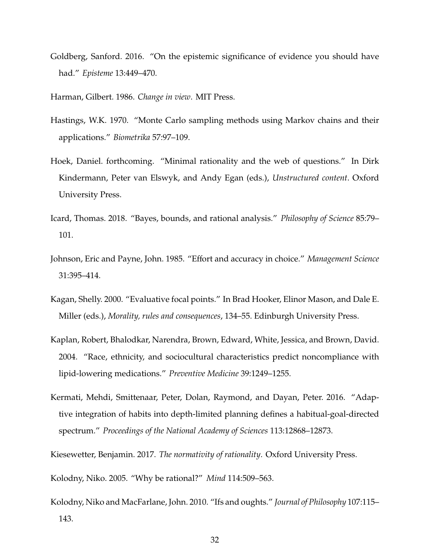Goldberg, Sanford. 2016. "On the epistemic significance of evidence you should have had." *Episteme* 13:449–470.

Harman, Gilbert. 1986. *Change in view*. MIT Press.

- Hastings, W.K. 1970. "Monte Carlo sampling methods using Markov chains and their applications." *Biometrika* 57:97–109.
- Hoek, Daniel. forthcoming. "Minimal rationality and the web of questions." In Dirk Kindermann, Peter van Elswyk, and Andy Egan (eds.), *Unstructured content*. Oxford University Press.
- Icard, Thomas. 2018. "Bayes, bounds, and rational analysis." *Philosophy of Science* 85:79– 101.
- Johnson, Eric and Payne, John. 1985. "Effort and accuracy in choice." *Management Science* 31:395–414.
- Kagan, Shelly. 2000. "Evaluative focal points." In Brad Hooker, Elinor Mason, and Dale E. Miller (eds.), *Morality, rules and consequences*, 134–55. Edinburgh University Press.
- Kaplan, Robert, Bhalodkar, Narendra, Brown, Edward, White, Jessica, and Brown, David. 2004. "Race, ethnicity, and sociocultural characteristics predict noncompliance with lipid-lowering medications." *Preventive Medicine* 39:1249–1255.
- Kermati, Mehdi, Smittenaar, Peter, Dolan, Raymond, and Dayan, Peter. 2016. "Adaptive integration of habits into depth-limited planning defines a habitual-goal-directed spectrum." *Proceedings of the National Academy of Sciences* 113:12868–12873.

Kiesewetter, Benjamin. 2017. *The normativity of rationality*. Oxford University Press.

Kolodny, Niko. 2005. "Why be rational?" *Mind* 114:509–563.

Kolodny, Niko and MacFarlane, John. 2010. "Ifs and oughts." *Journal of Philosophy* 107:115– 143.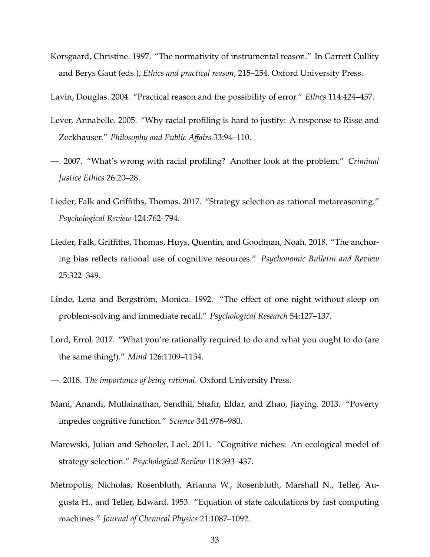- Korsgaard, Christine. 1997. "The normativity of instrumental reason." In Garrett Cullity and Berys Gaut (eds.), *Ethics and practical reason*, 215–254. Oxford University Press.
- Lavin, Douglas. 2004. "Practical reason and the possibility of error." *Ethics* 114:424–457.
- Lever, Annabelle. 2005. "Why racial profiling is hard to justify: A response to Risse and Zeckhauser." *Philosophy and Public A*ff*airs* 33:94–110.
- —. 2007. "What's wrong with racial profiling? Another look at the problem." *Criminal Justice Ethics* 26:20–28.
- Lieder, Falk and Griffiths, Thomas. 2017. "Strategy selection as rational metareasoning." *Psychological Review* 124:762–794.
- Lieder, Falk, Griffiths, Thomas, Huys, Quentin, and Goodman, Noah. 2018. "The anchoring bias reflects rational use of cognitive resources." *Psychonomic Bulletin and Review* 25:322–349.
- Linde, Lena and Bergström, Monica. 1992. "The effect of one night without sleep on problem-solving and immediate recall." *Psychological Research* 54:127–137.
- Lord, Errol. 2017. "What you're rationally required to do and what you ought to do (are the same thing!)." *Mind* 126:1109–1154.
- —. 2018. *The importance of being rational*. Oxford University Press.
- Mani, Anandi, Mullainathan, Sendhil, Shafir, Eldar, and Zhao, Jiaying. 2013. "Poverty impedes cognitive function." *Science* 341:976–980.
- Marewski, Julian and Schooler, Lael. 2011. "Cognitive niches: An ecological model of strategy selection." *Psychological Review* 118:393–437.
- Metropolis, Nicholas, Rosenbluth, Arianna W., Rosenbluth, Marshall N., Teller, Augusta H., and Teller, Edward. 1953. "Equation of state calculations by fast computing machines." *Journal of Chemical Physics* 21:1087–1092.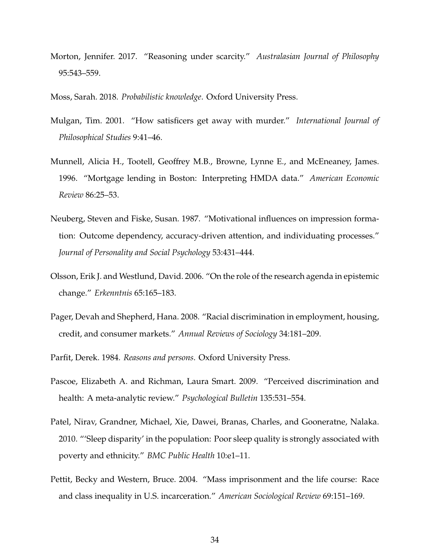Morton, Jennifer. 2017. "Reasoning under scarcity." *Australasian Journal of Philosophy* 95:543–559.

Moss, Sarah. 2018. *Probabilistic knowledge*. Oxford University Press.

- Mulgan, Tim. 2001. "How satisficers get away with murder." *International Journal of Philosophical Studies* 9:41–46.
- Munnell, Alicia H., Tootell, Geoffrey M.B., Browne, Lynne E., and McEneaney, James. 1996. "Mortgage lending in Boston: Interpreting HMDA data." *American Economic Review* 86:25–53.
- Neuberg, Steven and Fiske, Susan. 1987. "Motivational influences on impression formation: Outcome dependency, accuracy-driven attention, and individuating processes." *Journal of Personality and Social Psychology* 53:431–444.
- Olsson, Erik J. and Westlund, David. 2006. "On the role of the research agenda in epistemic change." *Erkenntnis* 65:165–183.
- Pager, Devah and Shepherd, Hana. 2008. "Racial discrimination in employment, housing, credit, and consumer markets." *Annual Reviews of Sociology* 34:181–209.
- Parfit, Derek. 1984. *Reasons and persons*. Oxford University Press.
- Pascoe, Elizabeth A. and Richman, Laura Smart. 2009. "Perceived discrimination and health: A meta-analytic review." *Psychological Bulletin* 135:531–554.
- Patel, Nirav, Grandner, Michael, Xie, Dawei, Branas, Charles, and Gooneratne, Nalaka. 2010. "'Sleep disparity' in the population: Poor sleep quality is strongly associated with poverty and ethnicity." *BMC Public Health* 10:e1–11.
- Pettit, Becky and Western, Bruce. 2004. "Mass imprisonment and the life course: Race and class inequality in U.S. incarceration." *American Sociological Review* 69:151–169.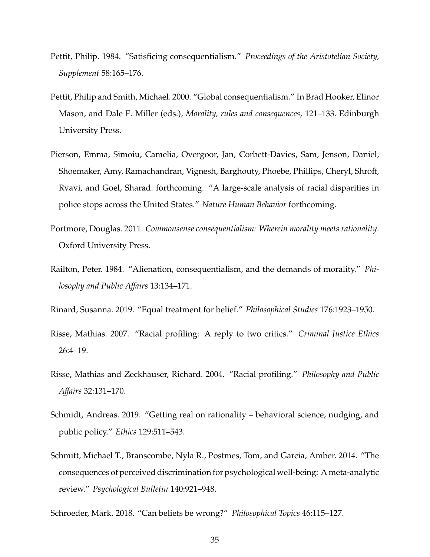- Pettit, Philip. 1984. "Satisficing consequentialism." *Proceedings of the Aristotelian Society, Supplement* 58:165–176.
- Pettit, Philip and Smith, Michael. 2000. "Global consequentialism." In Brad Hooker, Elinor Mason, and Dale E. Miller (eds.), *Morality, rules and consequences*, 121–133. Edinburgh University Press.
- Pierson, Emma, Simoiu, Camelia, Overgoor, Jan, Corbett-Davies, Sam, Jenson, Daniel, Shoemaker, Amy, Ramachandran, Vignesh, Barghouty, Phoebe, Phillips, Cheryl, Shroff, Rvavi, and Goel, Sharad. forthcoming. "A large-scale analysis of racial disparities in police stops across the United States." *Nature Human Behavior* forthcoming.
- Portmore, Douglas. 2011. *Commonsense consequentialism: Wherein morality meets rationality*. Oxford University Press.
- Railton, Peter. 1984. "Alienation, consequentialism, and the demands of morality." *Philosophy and Public A*ff*airs* 13:134–171.
- Rinard, Susanna. 2019. "Equal treatment for belief." *Philosophical Studies* 176:1923–1950.
- Risse, Mathias. 2007. "Racial profiling: A reply to two critics." *Criminal Justice Ethics* 26:4–19.
- Risse, Mathias and Zeckhauser, Richard. 2004. "Racial profiling." *Philosophy and Public A*ff*airs* 32:131–170.
- Schmidt, Andreas. 2019. "Getting real on rationality behavioral science, nudging, and public policy." *Ethics* 129:511–543.
- Schmitt, Michael T., Branscombe, Nyla R., Postmes, Tom, and Garcia, Amber. 2014. "The consequences of perceived discrimination for psychological well-being: A meta-analytic review." *Psychological Bulletin* 140:921–948.
- Schroeder, Mark. 2018. "Can beliefs be wrong?" *Philosophical Topics* 46:115–127.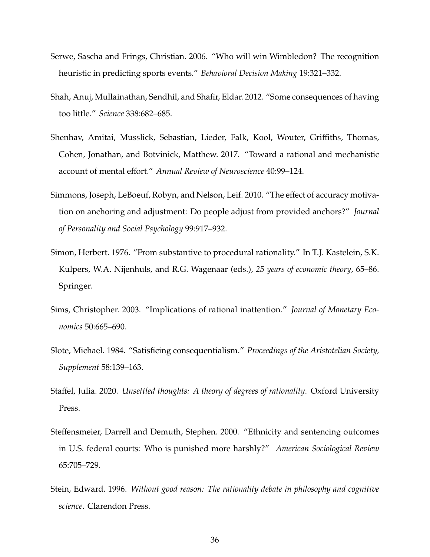- Serwe, Sascha and Frings, Christian. 2006. "Who will win Wimbledon? The recognition heuristic in predicting sports events." *Behavioral Decision Making* 19:321–332.
- Shah, Anuj, Mullainathan, Sendhil, and Shafir, Eldar. 2012. "Some consequences of having too little." *Science* 338:682–685.
- Shenhav, Amitai, Musslick, Sebastian, Lieder, Falk, Kool, Wouter, Griffiths, Thomas, Cohen, Jonathan, and Botvinick, Matthew. 2017. "Toward a rational and mechanistic account of mental effort." *Annual Review of Neuroscience* 40:99–124.
- Simmons, Joseph, LeBoeuf, Robyn, and Nelson, Leif. 2010. "The effect of accuracy motivation on anchoring and adjustment: Do people adjust from provided anchors?" *Journal of Personality and Social Psychology* 99:917–932.
- Simon, Herbert. 1976. "From substantive to procedural rationality." In T.J. Kastelein, S.K. Kulpers, W.A. Nijenhuls, and R.G. Wagenaar (eds.), *25 years of economic theory*, 65–86. Springer.
- Sims, Christopher. 2003. "Implications of rational inattention." *Journal of Monetary Economics* 50:665–690.
- Slote, Michael. 1984. "Satisficing consequentialism." *Proceedings of the Aristotelian Society, Supplement* 58:139–163.
- Staffel, Julia. 2020. *Unsettled thoughts: A theory of degrees of rationality*. Oxford University Press.
- Steffensmeier, Darrell and Demuth, Stephen. 2000. "Ethnicity and sentencing outcomes in U.S. federal courts: Who is punished more harshly?" *American Sociological Review* 65:705–729.
- Stein, Edward. 1996. *Without good reason: The rationality debate in philosophy and cognitive science*. Clarendon Press.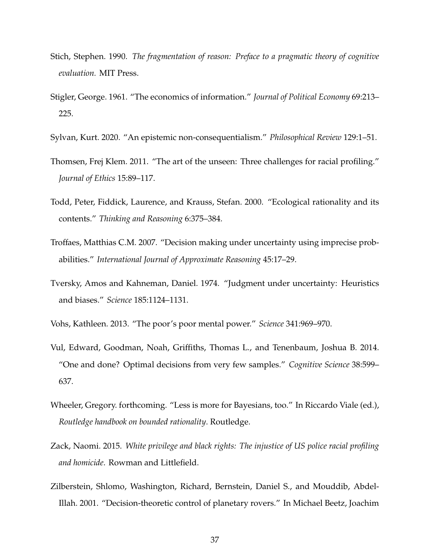- Stich, Stephen. 1990. *The fragmentation of reason: Preface to a pragmatic theory of cognitive evaluation.* MIT Press.
- Stigler, George. 1961. "The economics of information." *Journal of Political Economy* 69:213– 225.
- Sylvan, Kurt. 2020. "An epistemic non-consequentialism." *Philosophical Review* 129:1–51.
- Thomsen, Frej Klem. 2011. "The art of the unseen: Three challenges for racial profiling." *Journal of Ethics* 15:89–117.
- Todd, Peter, Fiddick, Laurence, and Krauss, Stefan. 2000. "Ecological rationality and its contents." *Thinking and Reasoning* 6:375–384.
- Troffaes, Matthias C.M. 2007. "Decision making under uncertainty using imprecise probabilities." *International Journal of Approximate Reasoning* 45:17–29.
- Tversky, Amos and Kahneman, Daniel. 1974. "Judgment under uncertainty: Heuristics and biases." *Science* 185:1124–1131.
- Vohs, Kathleen. 2013. "The poor's poor mental power." *Science* 341:969–970.
- Vul, Edward, Goodman, Noah, Griffiths, Thomas L., and Tenenbaum, Joshua B. 2014. "One and done? Optimal decisions from very few samples." *Cognitive Science* 38:599– 637.
- Wheeler, Gregory. forthcoming. "Less is more for Bayesians, too." In Riccardo Viale (ed.), *Routledge handbook on bounded rationality*. Routledge.
- Zack, Naomi. 2015. *White privilege and black rights: The injustice of US police racial profiling and homicide*. Rowman and Littlefield.
- Zilberstein, Shlomo, Washington, Richard, Bernstein, Daniel S., and Mouddib, Abdel-Illah. 2001. "Decision-theoretic control of planetary rovers." In Michael Beetz, Joachim